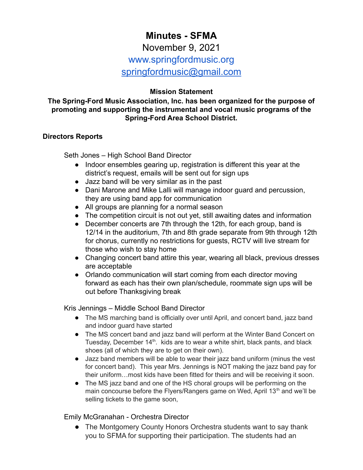# **Minutes - SFMA** November 9, 2021 www.springfordmusic.org [springfordmusic@gmail.com](mailto:springfordmusic@gmail.com)

## **Mission Statement**

### **The Spring-Ford Music Association, Inc. has been organized for the purpose of promoting and supporting the instrumental and vocal music programs of the Spring-Ford Area School District.**

#### **Directors Reports**

Seth Jones – High School Band Director

- Indoor ensembles gearing up, registration is different this year at the district's request, emails will be sent out for sign ups
- Jazz band will be very similar as in the past
- Dani Marone and Mike Lalli will manage indoor guard and percussion, they are using band app for communication
- All groups are planning for a normal season
- The competition circuit is not out yet, still awaiting dates and information
- December concerts are 7th through the 12th, for each group, band is 12/14 in the auditorium, 7th and 8th grade separate from 9th through 12th for chorus, currently no restrictions for guests, RCTV will live stream for those who wish to stay home
- Changing concert band attire this year, wearing all black, previous dresses are acceptable
- Orlando communication will start coming from each director moving forward as each has their own plan/schedule, roommate sign ups will be out before Thanksgiving break

Kris Jennings – Middle School Band Director

- The MS marching band is officially over until April, and concert band, jazz band and indoor guard have started
- The MS concert band and jazz band will perform at the Winter Band Concert on Tuesday, December 14<sup>th</sup>. kids are to wear a white shirt, black pants, and black shoes (all of which they are to get on their own).
- Jazz band members will be able to wear their jazz band uniform (minus the vest for concert band). This year Mrs. Jennings is NOT making the jazz band pay for their uniform…most kids have been fitted for theirs and will be receiving it soon.
- The MS jazz band and one of the HS choral groups will be performing on the main concourse before the Flyers/Rangers game on Wed, April 13<sup>th</sup> and we'll be selling tickets to the game soon,

#### Emily McGranahan - Orchestra Director

• The Montgomery County Honors Orchestra students want to say thank you to SFMA for supporting their participation. The students had an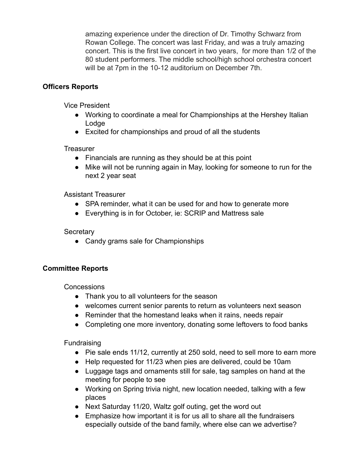amazing experience under the direction of Dr. Timothy Schwarz from Rowan College. The concert was last Friday, and was a truly amazing concert. This is the first live concert in two years, for more than 1/2 of the 80 student performers. The middle school/high school orchestra concert will be at 7pm in the 10-12 auditorium on December 7th.

# **Officers Reports**

Vice President

- Working to coordinate a meal for Championships at the Hershey Italian Lodge
- Excited for championships and proud of all the students

## **Treasurer**

- Financials are running as they should be at this point
- Mike will not be running again in May, looking for someone to run for the next 2 year seat

Assistant Treasurer

- SPA reminder, what it can be used for and how to generate more
- Everything is in for October, ie: SCRIP and Mattress sale

## **Secretary**

• Candy grams sale for Championships

# **Committee Reports**

Concessions

- Thank you to all volunteers for the season
- welcomes current senior parents to return as volunteers next season
- Reminder that the homestand leaks when it rains, needs repair
- Completing one more inventory, donating some leftovers to food banks

**Fundraising** 

- Pie sale ends 11/12, currently at 250 sold, need to sell more to earn more
- Help requested for 11/23 when pies are delivered, could be 10am
- Luggage tags and ornaments still for sale, tag samples on hand at the meeting for people to see
- Working on Spring trivia night, new location needed, talking with a few places
- Next Saturday 11/20, Waltz golf outing, get the word out
- Emphasize how important it is for us all to share all the fundraisers especially outside of the band family, where else can we advertise?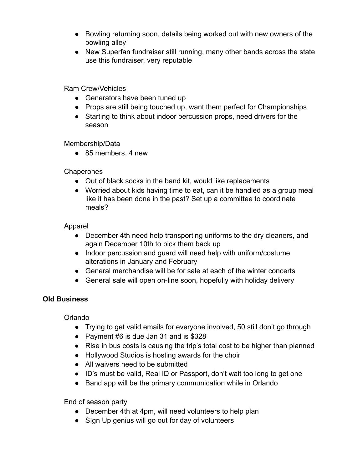- Bowling returning soon, details being worked out with new owners of the bowling alley
- New Superfan fundraiser still running, many other bands across the state use this fundraiser, very reputable

Ram Crew/Vehicles

- Generators have been tuned up
- Props are still being touched up, want them perfect for Championships
- Starting to think about indoor percussion props, need drivers for the season

Membership/Data

● 85 members, 4 new

**Chaperones** 

- Out of black socks in the band kit, would like replacements
- Worried about kids having time to eat, can it be handled as a group meal like it has been done in the past? Set up a committee to coordinate meals?

Apparel

- December 4th need help transporting uniforms to the dry cleaners, and again December 10th to pick them back up
- Indoor percussion and guard will need help with uniform/costume alterations in January and February
- General merchandise will be for sale at each of the winter concerts
- General sale will open on-line soon, hopefully with holiday delivery

# **Old Business**

Orlando

- Trying to get valid emails for everyone involved, 50 still don't go through
- Payment #6 is due Jan 31 and is \$328
- Rise in bus costs is causing the trip's total cost to be higher than planned
- Hollywood Studios is hosting awards for the choir
- All waivers need to be submitted
- ID's must be valid, Real ID or Passport, don't wait too long to get one
- Band app will be the primary communication while in Orlando

End of season party

- December 4th at 4pm, will need volunteers to help plan
- Sign Up genius will go out for day of volunteers